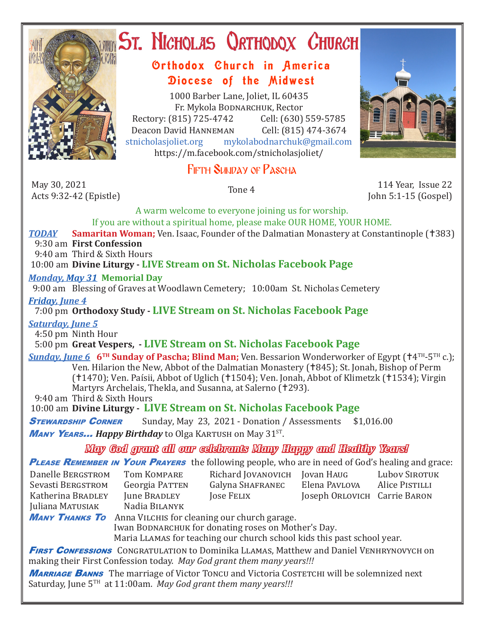

# **ST. NICHOLAS QRTHODOX CHURCH**

## Orthodox Church in America Diocese of the Midwest

1000 Barber Lane, Joliet, IL 60435 Fr. Mykola Bodnarchuk, Rector Rectory: (815) 725-4742 Cell: (630) 559-5785<br>Deacon David HANNEMAN Cell: (815) 474-3674 Deacon David Hanneman<br>stnicholasioliet.org mykola mykolabodnarchuk@gmail.com https://m.facebook.com/stnicholasjoliet/

# Fifth Sunday of Pascha

May 30, 2021<br>Acts 9:32-42 (Epistle) May 30, 2021<br>Acts 9:32-42 (Epistle) Tone 4 114 Year, Issue 22 114 Year, Issue 22 114 Year, Issue 22 114 Year, Issue 22 114 Year, Issue 22 114 Year, Issue 22 114 Year, Issue 22 114 Year, Issue 22 114 Year, Issue 22 114 Year

John 5:1-15 (Gospel)

A warm welcome to everyone joining us for worship. If you are without a spiritual home, please make OUR HOME, YOUR HOME.

**TODAY Samaritan Woman;** Ven. Isaac, Founder of the Dalmatian Monastery at Constantinople (†383)

## 9:30 am **First Confession**

9:40 am Third & Sixth Hours

10:00 am **Divine Liturgy - LIVE Stream on St. Nicholas Facebook Page**

## *Monday, May 31* **Memorial Day**

9:00 am Blessing of Graves at Woodlawn Cemetery; 10:00am St. Nicholas Cemetery

*Friday, June 4* 

## 7:00 pm **Orthodoxy Study - LIVE Stream on St. Nicholas Facebook Page**

*Saturday, June 5*

4:50 pm Ninth Hour

5:00 pm **Great Vespers, - LIVE Stream on St. Nicholas Facebook Page**

**Sunday, June 6 <sup>6TH</sup> Sunday of Pascha; Blind Man;** Ven. Bessarion Wonderworker of Egypt (†4<sup>TH</sup>-5<sup>TH</sup> c.); Ven. Hilarion the New, Abbot of the Dalmatian Monastery (†845); St. Jonah, Bishop of Perm (†1470); Ven. Paísii, Abbot of Uglich (†1504); Ven. Jonah, Abbot of Klimetzk (†1534); Virgin Martyrs Archelais, Thekla, and Susanna, at Salerno (†293).

9:40 am Third & Sixth Hours

10:00 am **Divine Liturgy - LIVE Stream on St. Nicholas Facebook Page**

**STEWARDSHIP CORNER** Sunday, May 23, 2021 - Donation / Assessments \$1,016.00 **Many Years... Happy Birthday** to Olga KARTUSH on May 31<sup>ST</sup>.

*May God grant all our celebrants Many Happy and Healthy Years!*

**PLEASE REMEMBER IN YOUR PRAYERS** the following people, who are in need of God's healing and grace:

| Danelle BERGSTROM | Tom KOMPARE           | Richard JOVANOVICH | Jovan HAUG                   | Lubov SIROTUK  |
|-------------------|-----------------------|--------------------|------------------------------|----------------|
| Sevasti BERGSTROM | <b>Georgia PATTEN</b> | Galyna SHAFRANEC   | Elena Pavlova                | Alice PISTILLI |
| Katherina BRADLEY | June BRADLEY          | <b>Jose FELIX</b>  | Joseph ORLOVICH Carrie BARON |                |
| Juliana MATUSIAK  | Nadia BILANYK         |                    |                              |                |

**Many Thanks To** Anna VILCHIS for cleaning our church garage. Iwan BODNARCHUK for donating roses on Mother's Day. Maria Llamas for teaching our church school kids this past school year.

**FIRST CONFESSIONS** CONGRATULATION to Dominika LLAMAS, Matthew and Daniel VENHRYNOVYCH on making their First Confession today. *May God grant them many years!!!*

**MARRIAGE BANNS** The marriage of Victor Toncu and Victoria Costetchi will be solemnized next Saturday, June 5TH at 11:00am. *May God grant them many years!!!*